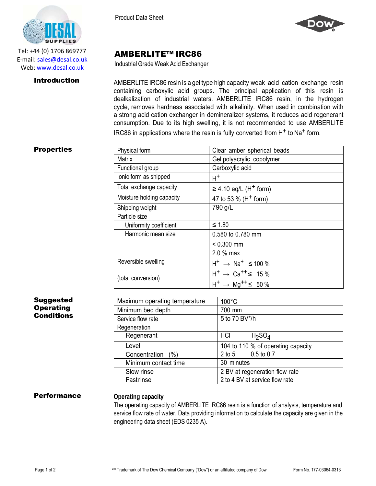

Tel: +44 (0) 1706 869777 E‐mail: sales@desal.co.uk Web: www.desal.co.uk

Product Data Sheet



# AMBERLITE™ IRC86

Industrial Grade Weak Acid Exchanger

**Introduction** AMBERLITE IRC86 resin is a gel type high capacity weak acid cation exchange resin containing carboxylic acid groups. The principal application of this resin is dealkalization of industrial waters. AMBERLITE IRC86 resin, in the hydrogen cycle, removes hardness associated with alkalinity. When used in combination with a strong acid cation exchanger in demineralizer systems, it reduces acid regenerant consumption. Due to its high swelling, it is not recommended to use AMBERLITE IRC86 in applications where the resin is fully converted from H<sup>+</sup> to Na<sup>+</sup> form.

### **Properties**

| Physical form             | Clear amber spherical beads                      |
|---------------------------|--------------------------------------------------|
| <b>Matrix</b>             | Gel polyacrylic copolymer                        |
| Functional group          | Carboxylic acid                                  |
| lonic form as shipped     | $H^+$                                            |
| Total exchange capacity   | $\geq$ 4.10 eq/L (H <sup>+</sup> form)           |
| Moisture holding capacity | 47 to 53 % (H <sup>+</sup> form)                 |
| Shipping weight           | 790 g/L                                          |
| Particle size             |                                                  |
| Uniformity coefficient    | $≤ 1.80$                                         |
| Harmonic mean size        | 0.580 to 0.780 mm                                |
|                           | $< 0.300$ mm                                     |
|                           | $2.0%$ max                                       |
| Reversible swelling       | $H^+$ $\rightarrow$ Na <sup>+</sup> $\leq$ 100 % |
| (total conversion)        | $H^+ \rightarrow Ca^{++} \leq 15\%$              |
|                           | $H^+$ $\rightarrow$ Mg <sup>++</sup> $\leq$ 50%  |

## Suggested **Operating Conditions**

| Maximum operating temperature | $100^{\circ}$ C                       |
|-------------------------------|---------------------------------------|
| Minimum bed depth             | 700 mm                                |
| Service flow rate             | 5 to 70 BV*/h                         |
| Regeneration                  |                                       |
| Regenerant                    | HCI<br>H <sub>2</sub> SO <sub>4</sub> |
| Level                         | 104 to 110 % of operating capacity    |
| Concentration (%)             | $0.5$ to $0.7$<br>$2$ to $5$          |
| Minimum contact time          | 30 minutes                            |
| Slow rinse                    | 2 BV at regeneration flow rate        |
| Fastrinse                     | 2 to 4 BV at service flow rate        |

## Performance **Operating capacity**

The operating capacity of AMBERLITE IRC86 resin is a function of analysis, temperature and service flow rate of water. Data providing information to calculate the capacity are given in the engineering data sheet (EDS 0235 A).